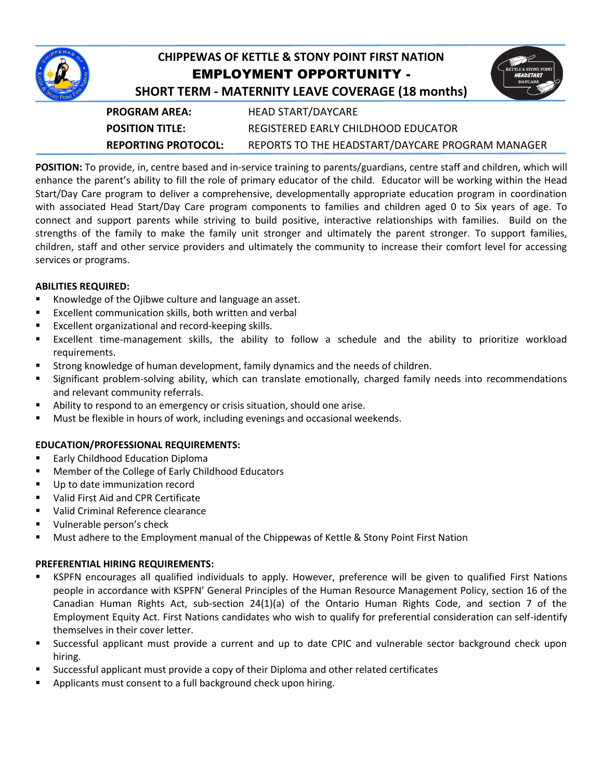

# **CHIPPEWAS OF KETTLE & STONY POINT FIRST NATION** EMPLOYMENT OPPORTUNITY -

| <b>KETTLE &amp; STONY POINT</b><br><b>HEADSTART</b><br><b>DAYCARE</b> |
|-----------------------------------------------------------------------|
|-----------------------------------------------------------------------|

| <b>SHORT TERM - MATERNITY LEAVE COVERAGE (18 months)</b> |  |
|----------------------------------------------------------|--|
|                                                          |  |

| <b>PROGRAM AREA:</b>   | <b>HEAD START/DAYCARE</b>                        |
|------------------------|--------------------------------------------------|
| <b>POSITION TITLE:</b> | REGISTERED EARLY CHILDHOOD EDUCATOR              |
| REPORTING PROTOCOL:    | REPORTS TO THE HEADSTART/DAYCARE PROGRAM MANAGER |

**POSITION:** To provide, in, centre based and in-service training to parents/guardians, centre staff and children, which will enhance the parent's ability to fill the role of primary educator of the child. Educator will be working within the Head Start/Day Care program to deliver a comprehensive, developmentally appropriate education program in coordination with associated Head Start/Day Care program components to families and children aged 0 to Six years of age. To connect and support parents while striving to build positive, interactive relationships with families. Build on the strengths of the family to make the family unit stronger and ultimately the parent stronger. To support families, children, staff and other service providers and ultimately the community to increase their comfort level for accessing services or programs.

## **ABILITIES REQUIRED:**

- **Knowledge of the Ojibwe culture and language an asset.**
- Excellent communication skills, both written and verbal
- Excellent organizational and record-keeping skills.
- Excellent time-management skills, the ability to follow a schedule and the ability to prioritize workload requirements.
- Strong knowledge of human development, family dynamics and the needs of children.
- **Significant problem-solving ability, which can translate emotionally, charged family needs into recommendations** and relevant community referrals.
- Ability to respond to an emergency or crisis situation, should one arise.
- Must be flexible in hours of work, including evenings and occasional weekends.

## **EDUCATION/PROFESSIONAL REQUIREMENTS:**

- Early Childhood Education Diploma
- Member of the College of Early Childhood Educators
- Up to date immunization record
- Valid First Aid and CPR Certificate
- Valid Criminal Reference clearance
- Vulnerable person's check
- Must adhere to the Employment manual of the Chippewas of Kettle & Stony Point First Nation

#### **PREFERENTIAL HIRING REQUIREMENTS:**

- KSPFN encourages all qualified individuals to apply. However, preference will be given to qualified First Nations people in accordance with KSPFN' General Principles of the Human Resource Management Policy, section 16 of the Canadian Human Rights Act, sub-section 24(1)(a) of the Ontario Human Rights Code, and section 7 of the Employment Equity Act. First Nations candidates who wish to qualify for preferential consideration can self-identify themselves in their cover letter.
- Successful applicant must provide a current and up to date CPIC and vulnerable sector background check upon hiring.
- Successful applicant must provide a copy of their Diploma and other related certificates
- **Applicants must consent to a full background check upon hiring.**